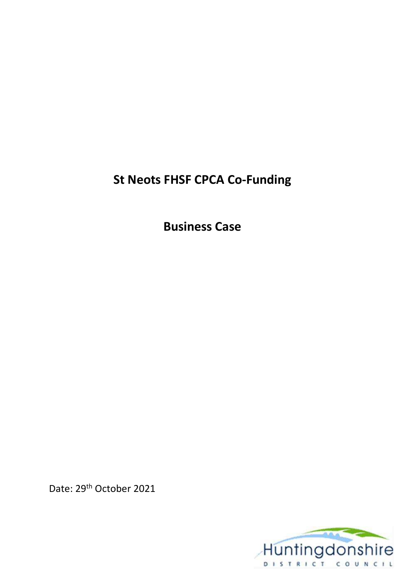# **St Neots FHSF CPCA Co-Funding**

**Business Case** 

Date: 29th October 2021

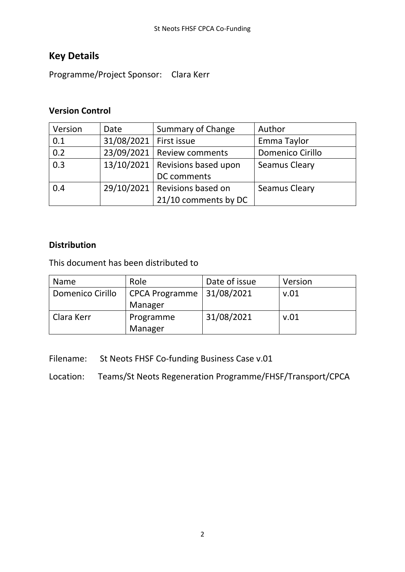### **Key Details**

Programme/Project Sponsor: Clara Kerr

#### **Version Control**

| Version | Date                     | Summary of Change                 | Author                  |
|---------|--------------------------|-----------------------------------|-------------------------|
| 0.1     | 31/08/2021   First issue |                                   | Emma Taylor             |
| 0.2     |                          | 23/09/2021   Review comments      | <b>Domenico Cirillo</b> |
| 0.3     |                          | 13/10/2021   Revisions based upon | <b>Seamus Cleary</b>    |
|         |                          | DC comments                       |                         |
| 0.4     |                          | $29/10/2021$ Revisions based on   | <b>Seamus Cleary</b>    |
|         |                          | 21/10 comments by DC              |                         |

#### **Distribution**

This document has been distributed to

| Name             | Role                        | Date of issue | Version |
|------------------|-----------------------------|---------------|---------|
| Domenico Cirillo | CPCA Programme   31/08/2021 |               | v.01    |
|                  | Manager                     |               |         |
| Clara Kerr       | Programme                   | 31/08/2021    | v.01    |
|                  | Manager                     |               |         |

Filename: St Neots FHSF Co-funding Business Case v.01

Location: Teams/St Neots Regeneration Programme/FHSF/Transport/CPCA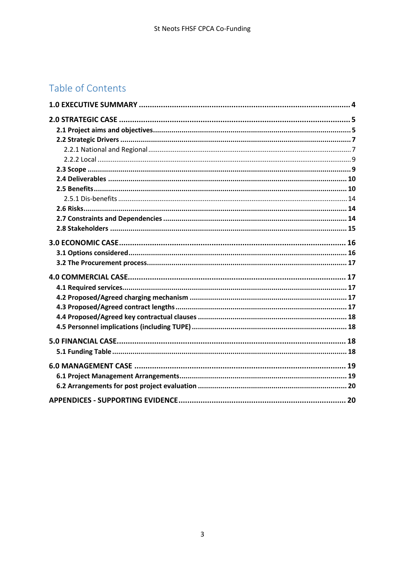# Table of Contents

| 6.0 MANAGEMENT CASE …………………………………………………………………………………… 19 |  |
|---------------------------------------------------------|--|
|                                                         |  |
|                                                         |  |
|                                                         |  |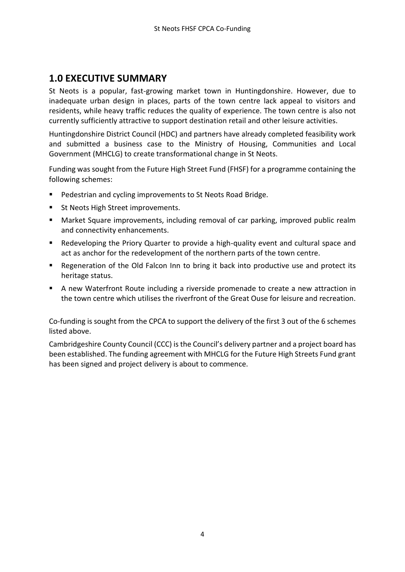#### <span id="page-3-0"></span>**1.0 EXECUTIVE SUMMARY**

St Neots is a popular, fast-growing market town in Huntingdonshire. However, due to inadequate urban design in places, parts of the town centre lack appeal to visitors and residents, while heavy traffic reduces the quality of experience. The town centre is also not currently sufficiently attractive to support destination retail and other leisure activities.

Huntingdonshire District Council (HDC) and partners have already completed feasibility work and submitted a business case to the Ministry of Housing, Communities and Local Government (MHCLG) to create transformational change in St Neots.

Funding was sought from the Future High Street Fund (FHSF) for a programme containing the following schemes:

- Pedestrian and cycling improvements to St Neots Road Bridge.
- St Neots High Street improvements.
- Market Square improvements, including removal of car parking, improved public realm and connectivity enhancements.
- Redeveloping the Priory Quarter to provide a high-quality event and cultural space and act as anchor for the redevelopment of the northern parts of the town centre.
- Regeneration of the Old Falcon Inn to bring it back into productive use and protect its heritage status.
- A new Waterfront Route including a riverside promenade to create a new attraction in the town centre which utilises the riverfront of the Great Ouse for leisure and recreation.

Co-funding is sought from the CPCA to support the delivery of the first 3 out of the 6 schemes listed above.

Cambridgeshire County Council (CCC) is the Council's delivery partner and a project board has been established. The funding agreement with MHCLG for the Future High Streets Fund grant has been signed and project delivery is about to commence.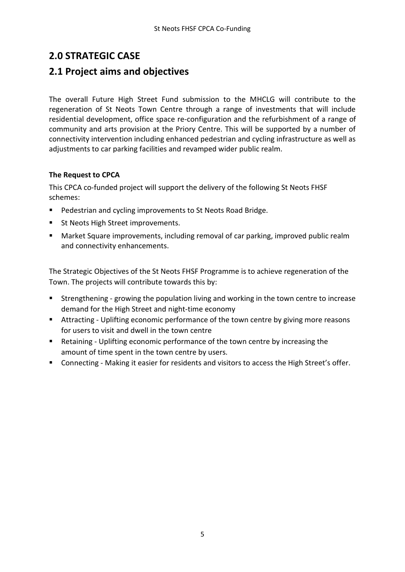### <span id="page-4-0"></span>**2.0 STRATEGIC CASE**

#### <span id="page-4-1"></span>**2.1 Project aims and objectives**

The overall Future High Street Fund submission to the MHCLG will contribute to the regeneration of St Neots Town Centre through a range of investments that will include residential development, office space re-configuration and the refurbishment of a range of community and arts provision at the Priory Centre. This will be supported by a number of connectivity intervention including enhanced pedestrian and cycling infrastructure as well as adjustments to car parking facilities and revamped wider public realm.

#### **The Request to CPCA**

This CPCA co-funded project will support the delivery of the following St Neots FHSF schemes:

- Pedestrian and cycling improvements to St Neots Road Bridge.
- St Neots High Street improvements.
- Market Square improvements, including removal of car parking, improved public realm and connectivity enhancements.

The Strategic Objectives of the St Neots FHSF Programme is to achieve regeneration of the Town. The projects will contribute towards this by:

- Strengthening growing the population living and working in the town centre to increase demand for the High Street and night-time economy
- Attracting Uplifting economic performance of the town centre by giving more reasons for users to visit and dwell in the town centre
- Retaining Uplifting economic performance of the town centre by increasing the amount of time spent in the town centre by users.
- Connecting Making it easier for residents and visitors to access the High Street's offer.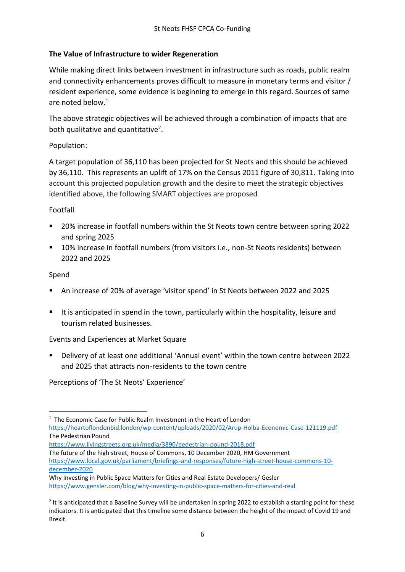#### **The Value of Infrastructure to wider Regeneration**

While making direct links between investment in infrastructure such as roads, public realm and connectivity enhancements proves difficult to measure in monetary terms and visitor / resident experience, some evidence is beginning to emerge in this regard. Sources of same are noted below  $1$ 

The above strategic objectives will be achieved through a combination of impacts that are both qualitative and quantitative<sup>2</sup>.

#### Population:

A target population of 36,110 has been projected for St Neots and this should be achieved by 36,110. This represents an uplift of 17% on the Census 2011 figure of 30,811. Taking into account this projected population growth and the desire to meet the strategic objectives identified above, the following SMART objectives are proposed

#### Footfall

- 20% increase in footfall numbers within the St Neots town centre between spring 2022 and spring 2025
- 10% increase in footfall numbers (from visitors i.e., non-St Neots residents) between 2022 and 2025

#### Spend

- An increase of 20% of average 'visitor spend' in St Neots between 2022 and 2025
- It is anticipated in spend in the town, particularly within the hospitality, leisure and tourism related businesses.

Events and Experiences at Market Square

▪ Delivery of at least one additional 'Annual event' within the town centre between 2022 and 2025 that attracts non-residents to the town centre

Perceptions of 'The St Neots' Experience'

<https://www.livingstreets.org.uk/media/3890/pedestrian-pound-2018.pdf>

The future of the high street, House of Commons, 10 December 2020, HM Government [https://www.local.gov.uk/parliament/briefings-and-responses/future-high-street-house-commons-10](https://www.local.gov.uk/parliament/briefings-and-responses/future-high-street-house-commons-10-december-2020) [december-2020](https://www.local.gov.uk/parliament/briefings-and-responses/future-high-street-house-commons-10-december-2020)

<sup>&</sup>lt;sup>1</sup> The Economic Case for Public Realm Investment in the Heart of London

<https://heartoflondonbid.london/wp-content/uploads/2020/02/Arup-Holba-Economic-Case-121119.pdf> The Pedestrian Pound

Why Investing in Public Space Matters for Cities and Real Estate Developers/ Gesler <https://www.gensler.com/blog/why-investing-in-public-space-matters-for-cities-and-real>

<sup>&</sup>lt;sup>2</sup> It is anticipated that a Baseline Survey will be undertaken in spring 2022 to establish a starting point for these indicators. It is anticipated that this timeline some distance between the height of the impact of Covid 19 and Brexit.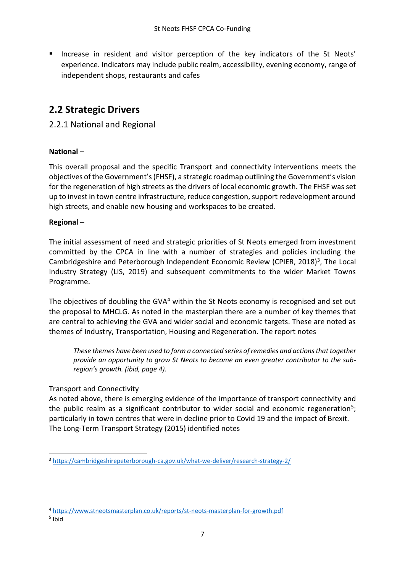**■** Increase in resident and visitor perception of the key indicators of the St Neots' experience. Indicators may include public realm, accessibility, evening economy, range of independent shops, restaurants and cafes

### <span id="page-6-0"></span>**2.2 Strategic Drivers**

#### <span id="page-6-1"></span>2.2.1 National and Regional

#### **National** –

This overall proposal and the specific Transport and connectivity interventions meets the objectives of the Government's (FHSF), a strategic roadmap outlining the Government's vision for the regeneration of high streets as the drivers of local economic growth. The FHSF was set up to invest in town centre infrastructure, reduce congestion, support redevelopment around high streets, and enable new housing and workspaces to be created.

#### **Regional** –

The initial assessment of need and strategic priorities of St Neots emerged from investment committed by the CPCA in line with a number of strategies and policies including the Cambridgeshire and Peterborough Independent Economic Review (CPIER, 2018)<sup>3</sup>, The Local Industry Strategy (LIS, 2019) and subsequent commitments to the wider Market Towns Programme.

The objectives of doubling the GVA<sup>4</sup> within the St Neots economy is recognised and set out the proposal to MHCLG. As noted in the masterplan there are a number of key themes that are central to achieving the GVA and wider social and economic targets. These are noted as themes of Industry, Transportation, Housing and Regeneration. The report notes

*These themes have been used to form a connected series of remedies and actions that together provide an opportunity to grow St Neots to become an even greater contributor to the subregion's growth. (ibid, page 4).*

#### Transport and Connectivity

As noted above, there is emerging evidence of the importance of transport connectivity and the public realm as a significant contributor to wider social and economic regeneration<sup>5</sup>; particularly in town centres that were in decline prior to Covid 19 and the impact of Brexit. The Long-Term Transport Strategy (2015) identified notes

<sup>3</sup> <https://cambridgeshirepeterborough-ca.gov.uk/what-we-deliver/research-strategy-2/>

<sup>4</sup> <https://www.stneotsmasterplan.co.uk/reports/st-neots-masterplan-for-growth.pdf>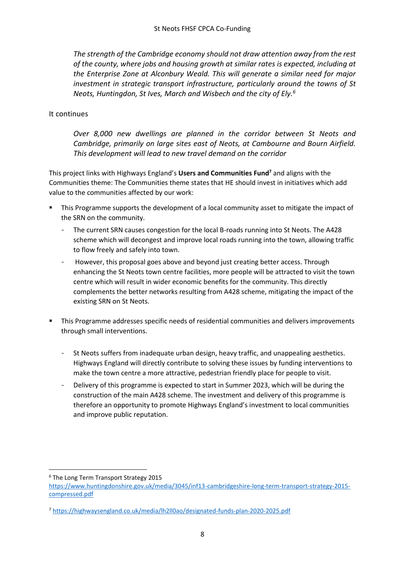*The strength of the Cambridge economy should not draw attention away from the rest of the county, where jobs and housing growth at similar rates is expected, including at the Enterprise Zone at Alconbury Weald. This will generate a similar need for major investment in strategic transport infrastructure, particularly around the towns of St Neots, Huntingdon, St Ives, March and Wisbech and the city of Ely.<sup>6</sup>*

#### It continues

*Over 8,000 new dwellings are planned in the corridor between St Neots and Cambridge, primarily on large sites east of Neots, at Cambourne and Bourn Airfield. This development will lead to new travel demand on the corridor* 

This project links with Highways England's **Users and Communities Fund<sup>7</sup>** and aligns with the Communities theme: The Communities theme states that HE should invest in initiatives which add value to the communities affected by our work:

- This Programme supports the development of a local community asset to mitigate the impact of the SRN on the community.
	- The current SRN causes congestion for the local B-roads running into St Neots. The A428 scheme which will decongest and improve local roads running into the town, allowing traffic to flow freely and safely into town.
	- However, this proposal goes above and beyond just creating better access. Through enhancing the St Neots town centre facilities, more people will be attracted to visit the town centre which will result in wider economic benefits for the community. This directly complements the better networks resulting from A428 scheme, mitigating the impact of the existing SRN on St Neots.
- **•** This Programme addresses specific needs of residential communities and delivers improvements through small interventions.
	- St Neots suffers from inadequate urban design, heavy traffic, and unappealing aesthetics. Highways England will directly contribute to solving these issues by funding interventions to make the town centre a more attractive, pedestrian friendly place for people to visit.
	- Delivery of this programme is expected to start in Summer 2023, which will be during the construction of the main A428 scheme. The investment and delivery of this programme is therefore an opportunity to promote Highways England's investment to local communities and improve public reputation.

<sup>6</sup> The Long Term Transport Strategy 2015

[https://www.huntingdonshire.gov.uk/media/3045/inf13-cambridgeshire-long-term-transport-strategy-2015](https://www.huntingdonshire.gov.uk/media/3045/inf13-cambridgeshire-long-term-transport-strategy-2015-compressed.pdf) [compressed.pdf](https://www.huntingdonshire.gov.uk/media/3045/inf13-cambridgeshire-long-term-transport-strategy-2015-compressed.pdf)

<sup>7</sup> <https://highwaysengland.co.uk/media/lh2ll0ao/designated-funds-plan-2020-2025.pdf>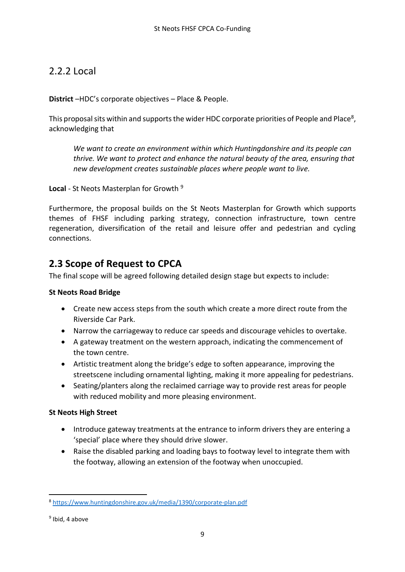#### <span id="page-8-0"></span>2.2.2 Local

**District** –HDC's corporate objectives – Place & People.

This proposal sits within and supports the wider HDC corporate priorities of People and Place<sup>8</sup>, acknowledging that

*We want to create an environment within which Huntingdonshire and its people can thrive. We want to protect and enhance the natural beauty of the area, ensuring that new development creates sustainable places where people want to live.*

**Local** - St Neots Masterplan for Growth <sup>9</sup>

Furthermore, the proposal builds on the St Neots Masterplan for Growth which supports themes of FHSF including parking strategy, connection infrastructure, town centre regeneration, diversification of the retail and leisure offer and pedestrian and cycling connections.

#### <span id="page-8-1"></span>**2.3 Scope of Request to CPCA**

The final scope will be agreed following detailed design stage but expects to include:

#### **St Neots Road Bridge**

- Create new access steps from the south which create a more direct route from the Riverside Car Park.
- Narrow the carriageway to reduce car speeds and discourage vehicles to overtake.
- A gateway treatment on the western approach, indicating the commencement of the town centre.
- Artistic treatment along the bridge's edge to soften appearance, improving the streetscene including ornamental lighting, making it more appealing for pedestrians.
- Seating/planters along the reclaimed carriage way to provide rest areas for people with reduced mobility and more pleasing environment.

#### **St Neots High Street**

- Introduce gateway treatments at the entrance to inform drivers they are entering a 'special' place where they should drive slower.
- Raise the disabled parking and loading bays to footway level to integrate them with the footway, allowing an extension of the footway when unoccupied.

<sup>8</sup> <https://www.huntingdonshire.gov.uk/media/1390/corporate-plan.pdf>

<sup>&</sup>lt;sup>9</sup> Ibid, 4 above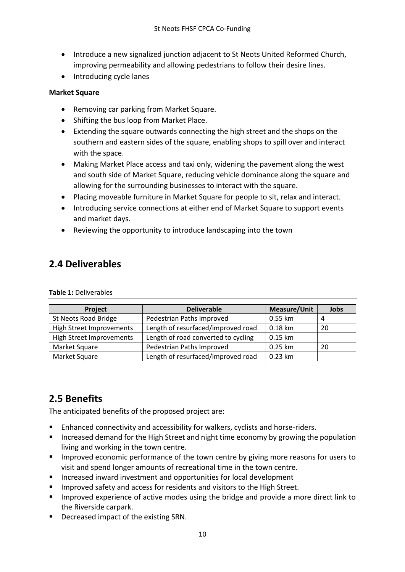- Introduce a new signalized junction adjacent to St Neots United Reformed Church, improving permeability and allowing pedestrians to follow their desire lines.
- Introducing cycle lanes

#### **Market Square**

- Removing car parking from Market Square.
- Shifting the bus loop from Market Place.
- Extending the square outwards connecting the high street and the shops on the southern and eastern sides of the square, enabling shops to spill over and interact with the space.
- Making Market Place access and taxi only, widening the pavement along the west and south side of Market Square, reducing vehicle dominance along the square and allowing for the surrounding businesses to interact with the square.
- Placing moveable furniture in Market Square for people to sit, relax and interact.
- Introducing service connections at either end of Market Square to support events and market days.
- Reviewing the opportunity to introduce landscaping into the town

#### <span id="page-9-0"></span>**2.4 Deliverables**

| Project                         | <b>Deliverable</b>                  | <b>Measure/Unit</b> | Jobs |
|---------------------------------|-------------------------------------|---------------------|------|
| St Neots Road Bridge            | Pedestrian Paths Improved           | 0.55 km             | 4    |
| <b>High Street Improvements</b> | Length of resurfaced/improved road  | 0.18 km             | 20   |
| <b>High Street Improvements</b> | Length of road converted to cycling | $0.15$ km           |      |
| Market Square                   | Pedestrian Paths Improved           | 0.25 km             | 20   |
| Market Square                   | Length of resurfaced/improved road  | $0.23$ km           |      |

### <span id="page-9-1"></span>**2.5 Benefits**

The anticipated benefits of the proposed project are:

- Enhanced connectivity and accessibility for walkers, cyclists and horse-riders.
- Increased demand for the High Street and night time economy by growing the population living and working in the town centre.
- **■** Improved economic performance of the town centre by giving more reasons for users to visit and spend longer amounts of recreational time in the town centre.
- Increased inward investment and opportunities for local development
- Improved safety and access for residents and visitors to the High Street.
- Improved experience of active modes using the bridge and provide a more direct link to the Riverside carpark.
- Decreased impact of the existing SRN.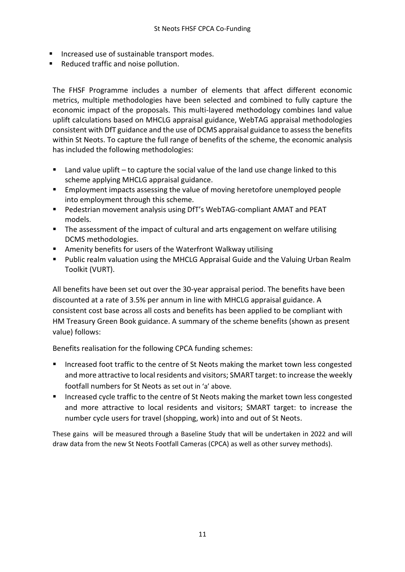- Increased use of sustainable transport modes.
- Reduced traffic and noise pollution.

The FHSF Programme includes a number of elements that affect different economic metrics, multiple methodologies have been selected and combined to fully capture the economic impact of the proposals. This multi-layered methodology combines land value uplift calculations based on MHCLG appraisal guidance, WebTAG appraisal methodologies consistent with DfT guidance and the use of DCMS appraisal guidance to assess the benefits within St Neots. To capture the full range of benefits of the scheme, the economic analysis has included the following methodologies:

- $\blacksquare$  Land value uplift to capture the social value of the land use change linked to this scheme applying MHCLG appraisal guidance.
- Employment impacts assessing the value of moving heretofore unemployed people into employment through this scheme.
- Pedestrian movement analysis using DfT's WebTAG-compliant AMAT and PEAT models.
- The assessment of the impact of cultural and arts engagement on welfare utilising DCMS methodologies.
- Amenity benefits for users of the Waterfront Walkway utilising
- Public realm valuation using the MHCLG Appraisal Guide and the Valuing Urban Realm Toolkit (VURT).

All benefits have been set out over the 30-year appraisal period. The benefits have been discounted at a rate of 3.5% per annum in line with MHCLG appraisal guidance. A consistent cost base across all costs and benefits has been applied to be compliant with HM Treasury Green Book guidance. A summary of the scheme benefits (shown as present value) follows:

Benefits realisation for the following CPCA funding schemes:

- Increased foot traffic to the centre of St Neots making the market town less congested and more attractive to local residents and visitors; SMART target: to increase the weekly footfall numbers for St Neots as set out in 'a' above.
- Increased cycle traffic to the centre of St Neots making the market town less congested and more attractive to local residents and visitors; SMART target: to increase the number cycle users for travel (shopping, work) into and out of St Neots.

These gains will be measured through a Baseline Study that will be undertaken in 2022 and will draw data from the new St Neots Footfall Cameras (CPCA) as well as other survey methods).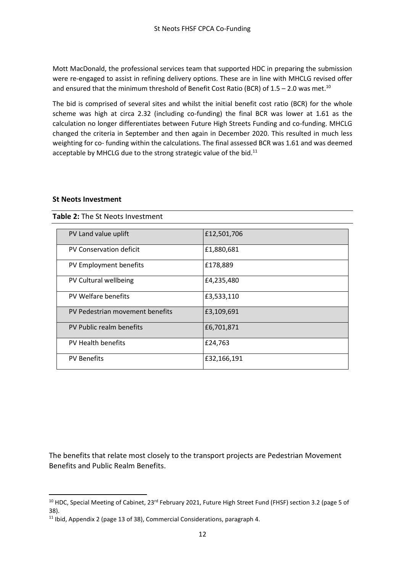Mott MacDonald, the professional services team that supported HDC in preparing the submission were re-engaged to assist in refining delivery options. These are in line with MHCLG revised offer and ensured that the minimum threshold of Benefit Cost Ratio (BCR) of  $1.5 - 2.0$  was met.<sup>10</sup>

The bid is comprised of several sites and whilst the initial benefit cost ratio (BCR) for the whole scheme was high at circa 2.32 (including co-funding) the final BCR was lower at 1.61 as the calculation no longer differentiates between Future High Streets Funding and co-funding. MHCLG changed the criteria in September and then again in December 2020. This resulted in much less weighting for co- funding within the calculations. The final assessed BCR was 1.61 and was deemed acceptable by MHCLG due to the strong strategic value of the bid.<sup>11</sup>

#### **St Neots Investment**

| PV Land value uplift            | £12,501,706 |
|---------------------------------|-------------|
| PV Conservation deficit         | £1,880,681  |
| PV Employment benefits          | £178,889    |
| PV Cultural wellbeing           | £4,235,480  |
| PV Welfare benefits             | £3,533,110  |
| PV Pedestrian movement benefits | £3,109,691  |
| PV Public realm benefits        | £6,701,871  |
| PV Health benefits              | £24,763     |
| <b>PV Benefits</b>              | £32,166,191 |

**Table 2:** The St Neots Investment

The benefits that relate most closely to the transport projects are Pedestrian Movement Benefits and Public Realm Benefits.

<sup>&</sup>lt;sup>10</sup> HDC, Special Meeting of Cabinet, 23<sup>rd</sup> February 2021, Future High Street Fund (FHSF) section 3.2 (page 5 of 38).

<sup>&</sup>lt;sup>11</sup> Ibid, Appendix 2 (page 13 of 38), Commercial Considerations, paragraph 4.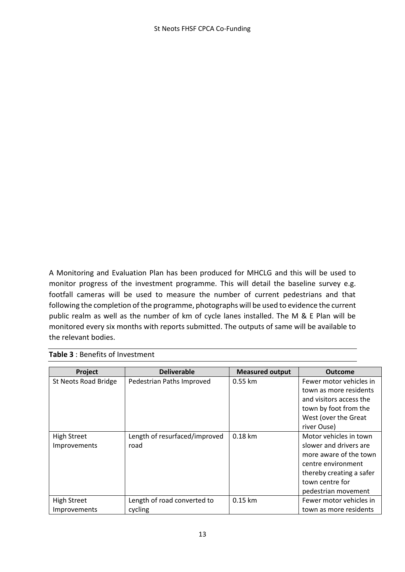A Monitoring and Evaluation Plan has been produced for MHCLG and this will be used to monitor progress of the investment programme. This will detail the baseline survey e.g. footfall cameras will be used to measure the number of current pedestrians and that following the completion of the programme, photographs will be used to evidence the current public realm as well as the number of km of cycle lanes installed. The M & E Plan will be monitored every six months with reports submitted. The outputs of same will be available to the relevant bodies.

| <b>Project</b>       | <b>Deliverable</b>            | <b>Measured output</b> | <b>Outcome</b>           |
|----------------------|-------------------------------|------------------------|--------------------------|
| St Neots Road Bridge | Pedestrian Paths Improved     | $0.55$ km              | Fewer motor vehicles in  |
|                      |                               |                        | town as more residents   |
|                      |                               |                        | and visitors access the  |
|                      |                               |                        | town by foot from the    |
|                      |                               |                        | West (over the Great     |
|                      |                               |                        | river Ouse)              |
| <b>High Street</b>   | Length of resurfaced/improved | $0.18$ km              | Motor vehicles in town   |
| Improvements         | road                          |                        | slower and drivers are   |
|                      |                               |                        | more aware of the town   |
|                      |                               |                        | centre environment       |
|                      |                               |                        | thereby creating a safer |
|                      |                               |                        | town centre for          |
|                      |                               |                        | pedestrian movement      |
| <b>High Street</b>   | Length of road converted to   | 0.15 km                | Fewer motor vehicles in  |
| Improvements         | cycling                       |                        | town as more residents   |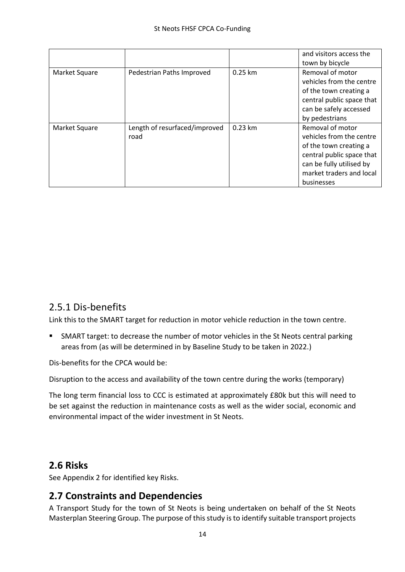|               |                                       |           | and visitors access the<br>town by bicycle                                                                                                                                |
|---------------|---------------------------------------|-----------|---------------------------------------------------------------------------------------------------------------------------------------------------------------------------|
| Market Square | Pedestrian Paths Improved             | $0.25$ km | Removal of motor<br>vehicles from the centre<br>of the town creating a<br>central public space that<br>can be safely accessed<br>by pedestrians                           |
| Market Square | Length of resurfaced/improved<br>road | $0.23$ km | Removal of motor<br>vehicles from the centre<br>of the town creating a<br>central public space that<br>can be fully utilised by<br>market traders and local<br>businesses |

### <span id="page-13-0"></span>2.5.1 Dis-benefits

Link this to the SMART target for reduction in motor vehicle reduction in the town centre.

■ SMART target: to decrease the number of motor vehicles in the St Neots central parking areas from (as will be determined in by Baseline Study to be taken in 2022.)

Dis-benefits for the CPCA would be:

Disruption to the access and availability of the town centre during the works (temporary)

The long term financial loss to CCC is estimated at approximately £80k but this will need to be set against the reduction in maintenance costs as well as the wider social, economic and environmental impact of the wider investment in St Neots.

#### <span id="page-13-1"></span>**2.6 Risks**

See Appendix 2 for identified key Risks.

#### <span id="page-13-2"></span>**2.7 Constraints and Dependencies**

A Transport Study for the town of St Neots is being undertaken on behalf of the St Neots Masterplan Steering Group. The purpose of this study is to identify suitable transport projects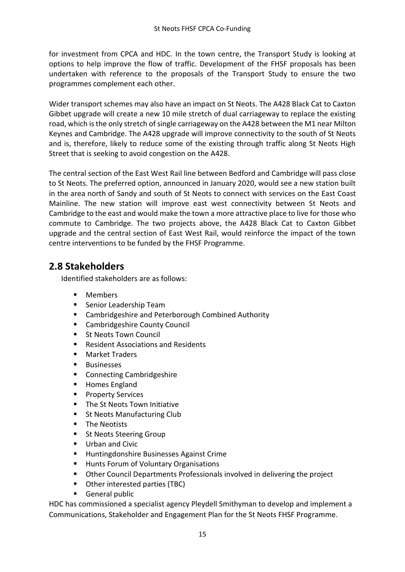for investment from CPCA and HDC. In the town centre, the Transport Study is looking at options to help improve the flow of traffic. Development of the FHSF proposals has been undertaken with reference to the proposals of the Transport Study to ensure the two programmes complement each other.

Wider transport schemes may also have an impact on St Neots. The A428 Black Cat to Caxton Gibbet upgrade will create a new 10 mile stretch of dual carriageway to replace the existing road, which is the only stretch of single carriageway on the A428 between the M1 near Milton Keynes and Cambridge. The A428 upgrade will improve connectivity to the south of St Neots and is, therefore, likely to reduce some of the existing through traffic along St Neots High Street that is seeking to avoid congestion on the A428.

The central section of the East West Rail line between Bedford and Cambridge will pass close to St Neots. The preferred option, announced in January 2020, would see a new station built in the area north of Sandy and south of St Neots to connect with services on the East Coast Mainline. The new station will improve east west connectivity between St Neots and Cambridge to the east and would make the town a more attractive place to live for those who commute to Cambridge. The two projects above, the A428 Black Cat to Caxton Gibbet upgrade and the central section of East West Rail, would reinforce the impact of the town centre interventions to be funded by the FHSF Programme.

#### <span id="page-14-0"></span>**2.8 Stakeholders**

Identified stakeholders are as follows:

- **Members**
- Senior Leadership Team
- Cambridgeshire and Peterborough Combined Authority
- Cambridgeshire County Council
- **St Neots Town Council**
- Resident Associations and Residents
- Market Traders
- Businesses
- Connecting Cambridgeshire
- Homes England
- Property Services
- The St Neots Town Initiative
- St Neots Manufacturing Club
- The Neotists
- St Neots Steering Group
- Urban and Civic
- Huntingdonshire Businesses Against Crime
- Hunts Forum of Voluntary Organisations
- Other Council Departments Professionals involved in delivering the project
- Other interested parties (TBC)
- General public

HDC has commissioned a specialist agency Pleydell Smithyman to develop and implement a Communications, Stakeholder and Engagement Plan for the St Neots FHSF Programme.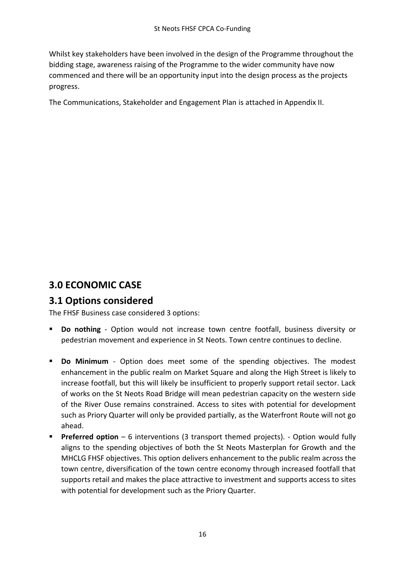Whilst key stakeholders have been involved in the design of the Programme throughout the bidding stage, awareness raising of the Programme to the wider community have now commenced and there will be an opportunity input into the design process as the projects progress.

The Communications, Stakeholder and Engagement Plan is attached in Appendix II.

### <span id="page-15-0"></span>**3.0 ECONOMIC CASE**

#### <span id="page-15-1"></span>**3.1 Options considered**

The FHSF Business case considered 3 options:

- **Do nothing** Option would not increase town centre footfall, business diversity or pedestrian movement and experience in St Neots. Town centre continues to decline.
- **Do Minimum** Option does meet some of the spending objectives. The modest enhancement in the public realm on Market Square and along the High Street is likely to increase footfall, but this will likely be insufficient to properly support retail sector. Lack of works on the St Neots Road Bridge will mean pedestrian capacity on the western side of the River Ouse remains constrained. Access to sites with potential for development such as Priory Quarter will only be provided partially, as the Waterfront Route will not go ahead.
- **Preferred option** 6 interventions (3 transport themed projects). Option would fully aligns to the spending objectives of both the St Neots Masterplan for Growth and the MHCLG FHSF objectives. This option delivers enhancement to the public realm across the town centre, diversification of the town centre economy through increased footfall that supports retail and makes the place attractive to investment and supports access to sites with potential for development such as the Priory Quarter.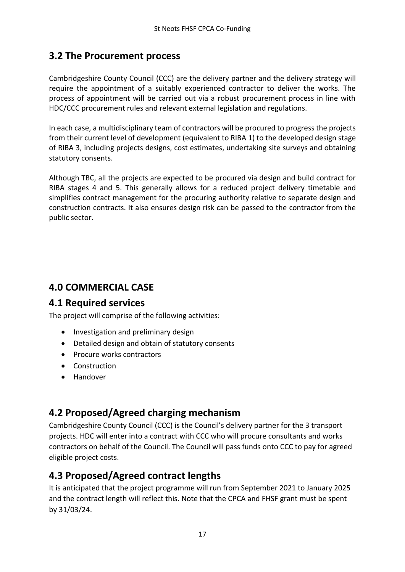### <span id="page-16-0"></span>**3.2 The Procurement process**

Cambridgeshire County Council (CCC) are the delivery partner and the delivery strategy will require the appointment of a suitably experienced contractor to deliver the works. The process of appointment will be carried out via a robust procurement process in line with HDC/CCC procurement rules and relevant external legislation and regulations.

In each case, a multidisciplinary team of contractors will be procured to progress the projects from their current level of development (equivalent to RIBA 1) to the developed design stage of RIBA 3, including projects designs, cost estimates, undertaking site surveys and obtaining statutory consents.

Although TBC, all the projects are expected to be procured via design and build contract for RIBA stages 4 and 5. This generally allows for a reduced project delivery timetable and simplifies contract management for the procuring authority relative to separate design and construction contracts. It also ensures design risk can be passed to the contractor from the public sector.

### <span id="page-16-1"></span>**4.0 COMMERCIAL CASE**

#### <span id="page-16-2"></span>**4.1 Required services**

The project will comprise of the following activities:

- Investigation and preliminary design
- Detailed design and obtain of statutory consents
- Procure works contractors
- Construction
- Handover

### <span id="page-16-3"></span>**4.2 Proposed/Agreed charging mechanism**

Cambridgeshire County Council (CCC) is the Council's delivery partner for the 3 transport projects. HDC will enter into a contract with CCC who will procure consultants and works contractors on behalf of the Council. The Council will pass funds onto CCC to pay for agreed eligible project costs.

### <span id="page-16-4"></span>**4.3 Proposed/Agreed contract lengths**

It is anticipated that the project programme will run from September 2021 to January 2025 and the contract length will reflect this. Note that the CPCA and FHSF grant must be spent by 31/03/24.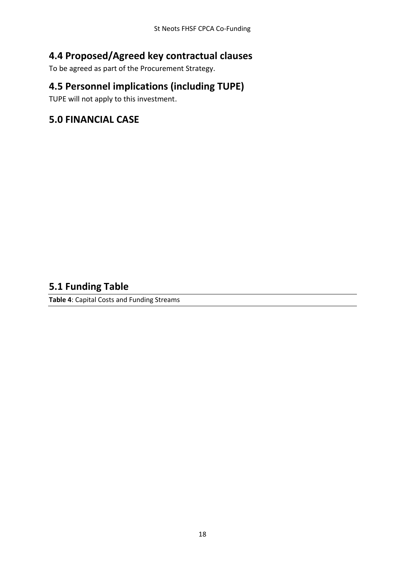### <span id="page-17-0"></span>**4.4 Proposed/Agreed key contractual clauses**

To be agreed as part of the Procurement Strategy.

### <span id="page-17-1"></span>**4.5 Personnel implications (including TUPE)**

TUPE will not apply to this investment.

#### <span id="page-17-2"></span>**5.0 FINANCIAL CASE**

#### <span id="page-17-3"></span>**5.1 Funding Table**

**Table 4**: Capital Costs and Funding Streams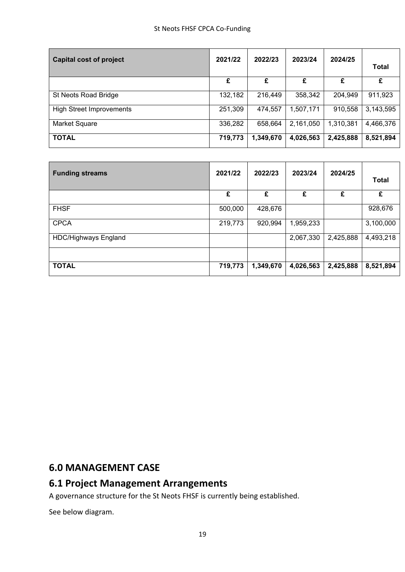| <b>Capital cost of project</b>  | 2021/22 | 2022/23   | 2023/24   | 2024/25   | Total     |
|---------------------------------|---------|-----------|-----------|-----------|-----------|
|                                 | £       | £         | £         | £         | £         |
| St Neots Road Bridge            | 132,182 | 216,449   | 358,342   | 204,949   | 911,923   |
| <b>High Street Improvements</b> | 251,309 | 474,557   | 1,507,171 | 910,558   | 3,143,595 |
| Market Square                   | 336,282 | 658,664   | 2,161,050 | 1,310,381 | 4,466,376 |
| <b>TOTAL</b>                    | 719,773 | 1,349,670 | 4,026,563 | 2,425,888 | 8,521,894 |

| <b>Funding streams</b>      | 2021/22 | 2022/23   | 2023/24   | 2024/25   | <b>Total</b> |
|-----------------------------|---------|-----------|-----------|-----------|--------------|
|                             | £       | £         | £         | £         | £            |
| <b>FHSF</b>                 | 500,000 | 428,676   |           |           | 928,676      |
| <b>CPCA</b>                 | 219,773 | 920,994   | 1,959,233 |           | 3,100,000    |
| <b>HDC/Highways England</b> |         |           | 2,067,330 | 2,425,888 | 4,493,218    |
|                             |         |           |           |           |              |
| <b>TOTAL</b>                | 719,773 | 1,349,670 | 4,026,563 | 2,425,888 | 8,521,894    |

#### <span id="page-18-0"></span>**6.0 MANAGEMENT CASE**

### <span id="page-18-1"></span>**6.1 Project Management Arrangements**

A governance structure for the St Neots FHSF is currently being established.

See below diagram.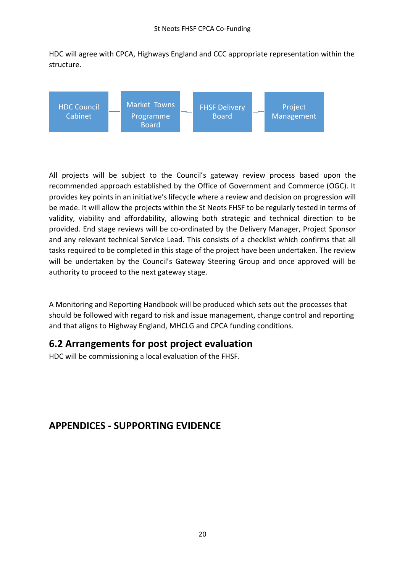HDC will agree with CPCA, Highways England and CCC appropriate representation within the structure.



All projects will be subject to the Council's gateway review process based upon the recommended approach established by the Office of Government and Commerce (OGC). It provides key points in an initiative's lifecycle where a review and decision on progression will be made. It will allow the projects within the St Neots FHSF to be regularly tested in terms of validity, viability and affordability, allowing both strategic and technical direction to be provided. End stage reviews will be co-ordinated by the Delivery Manager, Project Sponsor and any relevant technical Service Lead. This consists of a checklist which confirms that all tasks required to be completed in this stage of the project have been undertaken. The review will be undertaken by the Council's Gateway Steering Group and once approved will be authority to proceed to the next gateway stage.

A Monitoring and Reporting Handbook will be produced which sets out the processes that should be followed with regard to risk and issue management, change control and reporting and that aligns to Highway England, MHCLG and CPCA funding conditions.

#### <span id="page-19-0"></span>**6.2 Arrangements for post project evaluation**

HDC will be commissioning a local evaluation of the FHSF.

### <span id="page-19-1"></span>**APPENDICES - SUPPORTING EVIDENCE**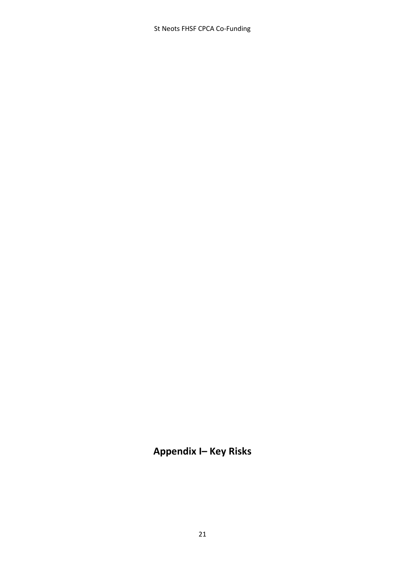St Neots FHSF CPCA Co-Funding

### **Appendix I– Key Risks**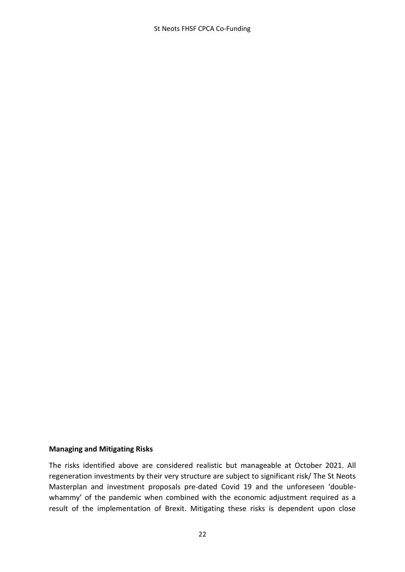St Neots FHSF CPCA Co-Funding

#### **Managing and Mitigating Risks**

The risks identified above are considered realistic but manageable at October 2021. All regeneration investments by their very structure are subject to significant risk/ The St Neots Masterplan and investment proposals pre-dated Covid 19 and the unforeseen 'doublewhammy' of the pandemic when combined with the economic adjustment required as a result of the implementation of Brexit. Mitigating these risks is dependent upon close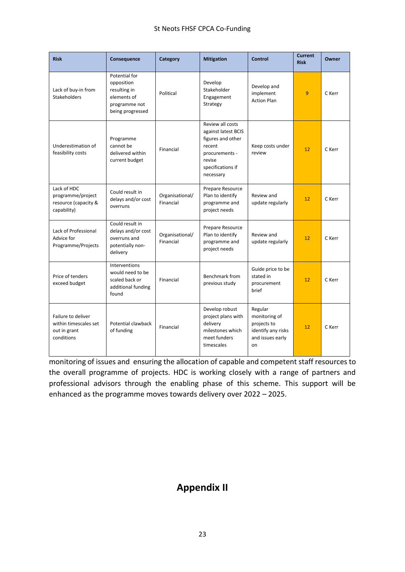| <b>Risk</b>                                                               | Consequence                                                                                     | Category                     | <b>Mitigation</b>                                                                                                                    | <b>Control</b>                                                                          | <b>Current</b><br><b>Risk</b> | Owner  |
|---------------------------------------------------------------------------|-------------------------------------------------------------------------------------------------|------------------------------|--------------------------------------------------------------------------------------------------------------------------------------|-----------------------------------------------------------------------------------------|-------------------------------|--------|
| Lack of buy-in from<br>Stakeholders                                       | Potential for<br>opposition<br>resulting in<br>elements of<br>programme not<br>being progressed | Political                    | Develop<br>Stakeholder<br>Engagement<br>Strategy                                                                                     | Develop and<br>implement<br><b>Action Plan</b>                                          | $\overline{9}$                | C Kerr |
| Underestimation of<br>feasibility costs                                   | Programme<br>cannot be<br>delivered within<br>current budget                                    | Financial                    | Review all costs<br>against latest BCIS<br>figures and other<br>recent<br>procurements -<br>revise<br>specifications if<br>necessary | Keep costs under<br>review                                                              | 12                            | C Kerr |
| Lack of HDC<br>programme/project<br>resource (capacity &<br>capability)   | Could result in<br>delays and/or cost<br>overruns                                               | Organisational/<br>Financial | Prepare Resource<br>Plan to identify<br>programme and<br>project needs                                                               | Review and<br>update regularly                                                          | 12                            | C Kerr |
| Lack of Professional<br>Advice for<br>Programme/Projects                  | Could result in<br>delays and/or cost<br>overruns and<br>potentially non-<br>delivery           | Organisational/<br>Financial | Prepare Resource<br>Plan to identify<br>programme and<br>project needs                                                               | Review and<br>update regularly                                                          | 12                            | C Kerr |
| Price of tenders<br>exceed budget                                         | Interventions<br>would need to be<br>scaled back or<br>additional funding<br>found              | Financial                    | Benchmark from<br>previous study                                                                                                     | Guide price to be<br>stated in<br>procurement<br>brief                                  | 12                            | C Kerr |
| Failure to deliver<br>within timescales set<br>out in grant<br>conditions | Potential clawback<br>of funding                                                                | Financial                    | Develop robust<br>project plans with<br>delivery<br>milestones which<br>meet funders<br>timescales                                   | Regular<br>monitoring of<br>projects to<br>identify any risks<br>and issues early<br>on | 12                            | C Kerr |

monitoring of issues and ensuring the allocation of capable and competent staff resources to the overall programme of projects. HDC is working closely with a range of partners and professional advisors through the enabling phase of this scheme. This support will be enhanced as the programme moves towards delivery over 2022 – 2025.

### **Appendix II**